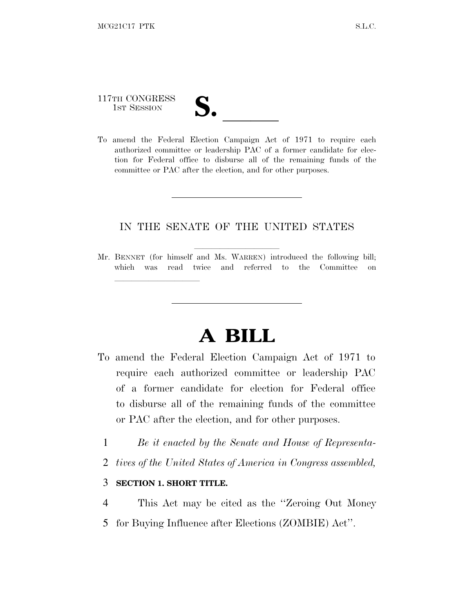117TH CONGRESS

lland and a state of the state of the state of the state of the state of the state of the state of the state o

117TH CONGRESS<br>
1ST SESSION<br>
To amend the Federal Election Campaign Act of 1971 to require each authorized committee or leadership PAC of a former candidate for election for Federal office to disburse all of the remaining funds of the committee or PAC after the election, and for other purposes.

## IN THE SENATE OF THE UNITED STATES

Mr. BENNET (for himself and Ms. WARREN) introduced the following bill; which was read twice and referred to the Committee on

## **A BILL**

- To amend the Federal Election Campaign Act of 1971 to require each authorized committee or leadership PAC of a former candidate for election for Federal office to disburse all of the remaining funds of the committee or PAC after the election, and for other purposes.
	- 1 *Be it enacted by the Senate and House of Representa-*
	- 2 *tives of the United States of America in Congress assembled,*

## 3 **SECTION 1. SHORT TITLE.**

- 4 This Act may be cited as the ''Zeroing Out Money
- 5 for Buying Influence after Elections (ZOMBIE) Act''.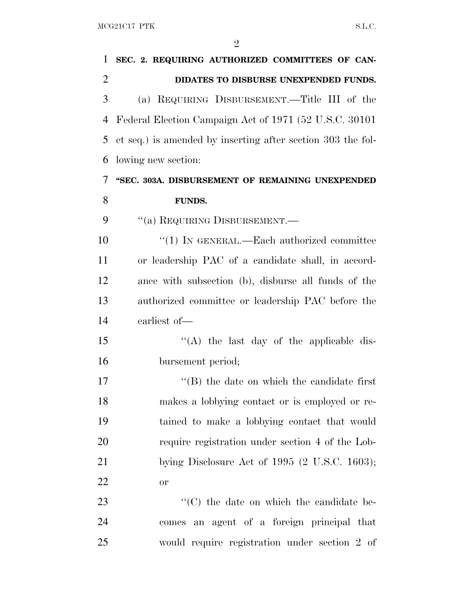| 1              | SEC. 2. REQUIRING AUTHORIZED COMMITTEES OF CAN-             |
|----------------|-------------------------------------------------------------|
| $\overline{2}$ | DIDATES TO DISBURSE UNEXPENDED FUNDS.                       |
| 3              | (a) REQUIRING DISBURSEMENT.—Title III of the                |
| 4              | Federal Election Campaign Act of 1971 (52 U.S.C. 30101)     |
| 5              | et seq.) is amended by inserting after section 303 the fol- |
| 6              | lowing new section:                                         |
| 7              | "SEC. 303A. DISBURSEMENT OF REMAINING UNEXPENDED            |
| 8              | <b>FUNDS.</b>                                               |
| 9              | "(a) REQUIRING DISBURSEMENT.-                               |
| 10             | $\cdot\cdot(1)$ In GENERAL.—Each authorized committee       |
| 11             | or leadership PAC of a candidate shall, in accord-          |
| 12             | ance with subsection (b), disburse all funds of the         |
| 13             | authorized committee or leadership PAC before the           |
| 14             | earliest of-                                                |
| 15             | "(A) the last day of the applicable dis-                    |
| 16             | bursement period;                                           |
| 17             | $\lq$ (B) the date on which the candidate first             |
| 18             | makes a lobbying contact or is employed or re-              |
| 19             | tained to make a lobbying contact that would                |
| 20             | require registration under section 4 of the Lob-            |
| 21             | bying Disclosure Act of $1995$ (2 U.S.C. 1603);             |
| 22             | <b>or</b>                                                   |
| 23             | "(C) the date on which the candidate be-                    |
| 24             | comes an agent of a foreign principal that                  |
| 25             | would require registration under section 2 of               |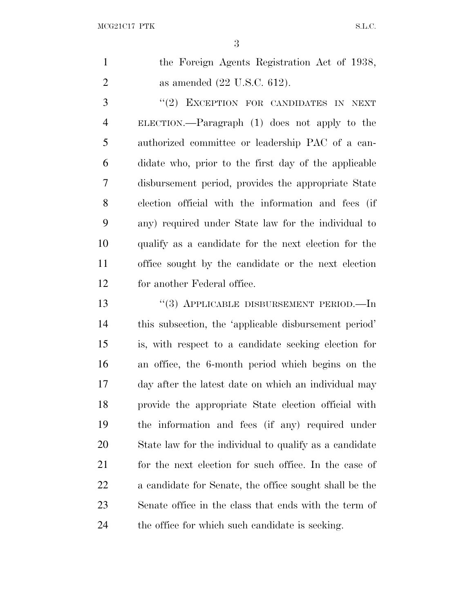| the Foreign Agents Registration Act of 1938, |
|----------------------------------------------|
| as amended $(22 \text{ U.S.C. } 612)$ .      |

3 "(2) EXCEPTION FOR CANDIDATES IN NEXT ELECTION.—Paragraph (1) does not apply to the authorized committee or leadership PAC of a can- didate who, prior to the first day of the applicable disbursement period, provides the appropriate State election official with the information and fees (if any) required under State law for the individual to qualify as a candidate for the next election for the office sought by the candidate or the next election for another Federal office.

13 "(3) APPLICABLE DISBURSEMENT PERIOD.—In this subsection, the 'applicable disbursement period' is, with respect to a candidate seeking election for an office, the 6-month period which begins on the day after the latest date on which an individual may provide the appropriate State election official with the information and fees (if any) required under State law for the individual to qualify as a candidate 21 for the next election for such office. In the case of a candidate for Senate, the office sought shall be the Senate office in the class that ends with the term of the office for which such candidate is seeking.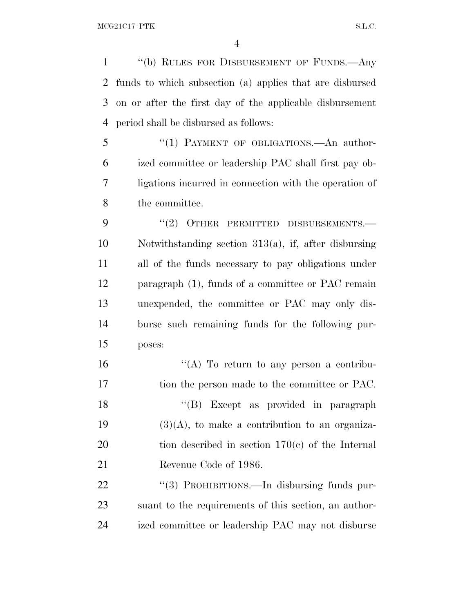''(b) RULES FOR DISBURSEMENT OF FUNDS.—Any funds to which subsection (a) applies that are disbursed on or after the first day of the applicable disbursement period shall be disbursed as follows:

5 "(1) PAYMENT OF OBLIGATIONS.—An author- ized committee or leadership PAC shall first pay ob- ligations incurred in connection with the operation of the committee.

9 "(2) OTHER PERMITTED DISBURSEMENTS.— Notwithstanding section 313(a), if, after disbursing all of the funds necessary to pay obligations under paragraph (1), funds of a committee or PAC remain unexpended, the committee or PAC may only dis- burse such remaining funds for the following pur-poses:

 $"({\rm A})$  To return to any person a contribu-17 tion the person made to the committee or PAC. 18 ''(B) Except as provided in paragraph  $(3)(A)$ , to make a contribution to an organiza- tion described in section 170(c) of the Internal Revenue Code of 1986.

22 "(3) PROHIBITIONS.—In disbursing funds pur- suant to the requirements of this section, an author-ized committee or leadership PAC may not disburse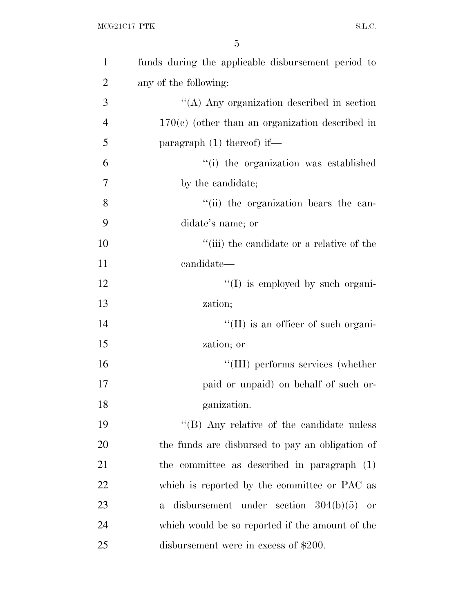| $\mathbf{1}$   | funds during the applicable disbursement period to        |
|----------------|-----------------------------------------------------------|
| $\overline{2}$ | any of the following:                                     |
| 3              | "(A) Any organization described in section                |
| $\overline{4}$ | $170(c)$ (other than an organization described in         |
| 5              | paragraph $(1)$ thereof) if—                              |
| 6              | "(i) the organization was established                     |
| 7              | by the candidate;                                         |
| 8              | "(ii) the organization bears the can-                     |
| 9              | didate's name; or                                         |
| 10             | "(iii) the candidate or a relative of the                 |
| 11             | candidate—                                                |
| 12             | "(I) is employed by such organi-                          |
| 13             | zation;                                                   |
| 14             | $\lq\lq$ (II) is an officer of such organi-               |
| 15             | zation; or                                                |
| 16             | "(III) performs services (whether                         |
| 17             | paid or unpaid) on behalf of such or-                     |
| 18             | ganization.                                               |
| 19             | "(B) Any relative of the candidate unless                 |
| 20             | the funds are disbursed to pay an obligation of           |
| 21             | the committee as described in paragraph (1)               |
| 22             | which is reported by the committee or PAC as              |
| 23             | disbursement under section $304(b)(5)$ or<br>$\mathbf{a}$ |
| 24             | which would be so reported if the amount of the           |
| 25             | disbursement were in excess of $$200$ .                   |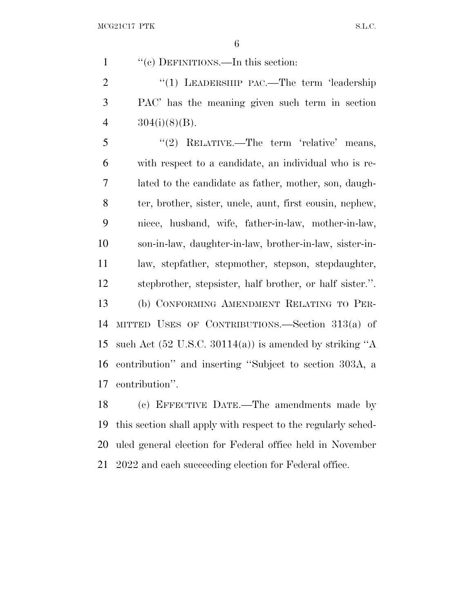''(c) DEFINITIONS.—In this section:

2 "(1) LEADERSHIP PAC.—The term 'leadership PAC' has the meaning given such term in section 4  $304(i)(8)(B)$ .

 ''(2) RELATIVE.—The term 'relative' means, with respect to a candidate, an individual who is re- lated to the candidate as father, mother, son, daugh- ter, brother, sister, uncle, aunt, first cousin, nephew, niece, husband, wife, father-in-law, mother-in-law, son-in-law, daughter-in-law, brother-in-law, sister-in- law, stepfather, stepmother, stepson, stepdaughter, stepbrother, stepsister, half brother, or half sister.''. (b) CONFORMING AMENDMENT RELATING TO PER- MITTED USES OF CONTRIBUTIONS.—Section 313(a) of such Act (52 U.S.C. 30114(a)) is amended by striking ''A contribution'' and inserting ''Subject to section 303A, a contribution''.

 (c) EFFECTIVE DATE.—The amendments made by this section shall apply with respect to the regularly sched- uled general election for Federal office held in November 2022 and each succeeding election for Federal office.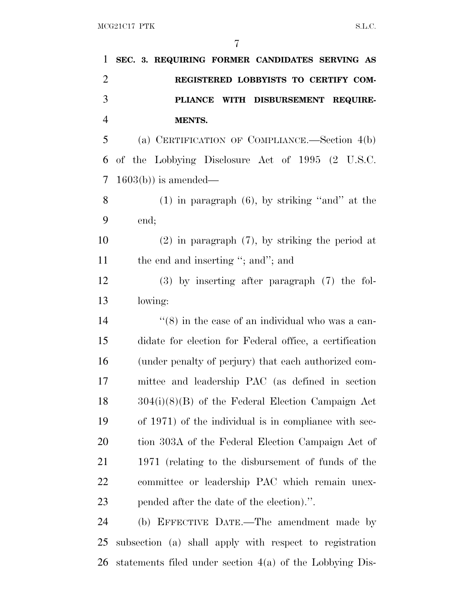| 1              | SEC. 3. REQUIRING FORMER CANDIDATES SERVING AS               |
|----------------|--------------------------------------------------------------|
| $\overline{2}$ | REGISTERED LOBBYISTS TO CERTIFY COM-                         |
| 3              | DISBURSEMENT REQUIRE-<br><b>PLIANCE</b><br>WITH              |
| $\overline{4}$ | MENTS.                                                       |
| 5              | (a) CERTIFICATION OF COMPLIANCE.—Section 4(b)                |
| 6              | of the Lobbying Disclosure Act of 1995 (2 U.S.C.             |
| 7              | $1603(b)$ is amended—                                        |
| 8              | $(1)$ in paragraph $(6)$ , by striking "and" at the          |
| 9              | end;                                                         |
| 10             | $(2)$ in paragraph $(7)$ , by striking the period at         |
| 11             | the end and inserting "; and"; and                           |
| 12             | $(3)$ by inserting after paragraph $(7)$ the fol-            |
| 13             | lowing:                                                      |
| 14             | $\cdot\cdot$ (8) in the case of an individual who was a can- |
| 15             | didate for election for Federal office, a certification      |
| 16             | (under penalty of perjury) that each authorized com-         |
| 17             | mittee and leadership PAC (as defined in section             |
| 18             | $304(i)(8)(B)$ of the Federal Election Campaign Act          |
| 19             | of 1971) of the individual is in compliance with sec-        |
| 20             | tion 303A of the Federal Election Campaign Act of            |
| 21             | 1971 (relating to the disbursement of funds of the           |
| 22             | committee or leadership PAC which remain unex-               |
| 23             | pended after the date of the election).".                    |
| 24             | (b) EFFECTIVE DATE.—The amendment made by                    |
| 25             | subsection (a) shall apply with respect to registration      |

statements filed under section 4(a) of the Lobbying Dis-